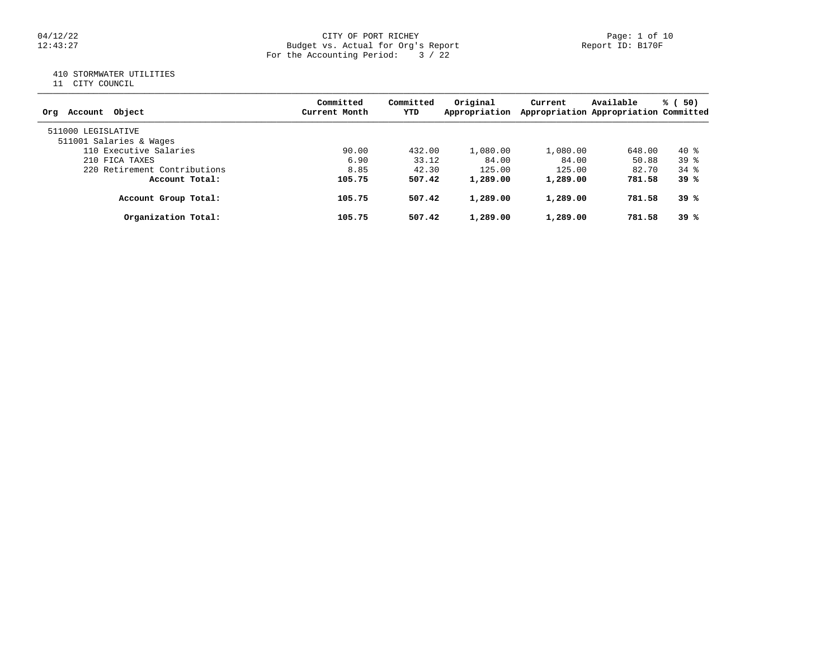#### 04/12/22 Page: 1 of 10 12:43:27 Budget vs. Actual for Org's Report Report ID: B170F For the Accounting Period: 3 / 22

# 410 STORMWATER UTILITIES

11 CITY COUNCIL

| Account Object<br>Ora        | Committed<br>Current Month | Committed<br>YTD | Original<br>Appropriation | Current  | Available<br>Appropriation Appropriation Committed | % (50)   |
|------------------------------|----------------------------|------------------|---------------------------|----------|----------------------------------------------------|----------|
| 511000 LEGISLATIVE           |                            |                  |                           |          |                                                    |          |
| 511001 Salaries & Wages      |                            |                  |                           |          |                                                    |          |
| 110 Executive Salaries       | 90.00                      | 432.00           | 1,080.00                  | 1,080.00 | 648.00                                             | 40 %     |
| 210 FICA TAXES               | 6.90                       | 33.12            | 84.00                     | 84.00    | 50.88                                              | $39*$    |
| 220 Retirement Contributions | 8.85                       | 42.30            | 125.00                    | 125.00   | 82.70                                              | $34$ $%$ |
| Account Total:               | 105.75                     | 507.42           | 1,289.00                  | 1,289.00 | 781.58                                             | 39 %     |
| Account Group Total:         | 105.75                     | 507.42           | 1,289.00                  | 1,289.00 | 781.58                                             | 39 %     |
| Organization Total:          | 105.75                     | 507.42           | 1,289.00                  | 1,289.00 | 781.58                                             | 39 %     |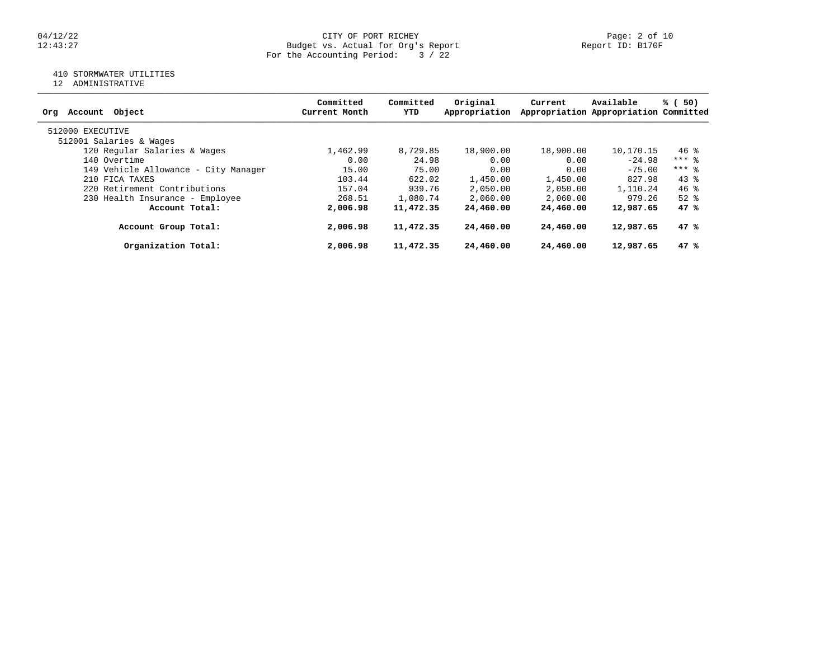#### 04/12/22 CITY OF PORT RICHEY Page: 2 of 10 12:43:27 Budget vs. Actual for Org's Report Report ID: B170F For the Accounting Period: 3 / 22

# 410 STORMWATER UTILITIES

12 ADMINISTRATIVE

| Object<br>Account<br>Orq             | Committed<br>Current Month | Committed<br>YTD | Original<br>Appropriation | Current   | Available<br>Appropriation Appropriation Committed | % (50)   |
|--------------------------------------|----------------------------|------------------|---------------------------|-----------|----------------------------------------------------|----------|
| 512000 EXECUTIVE                     |                            |                  |                           |           |                                                    |          |
| 512001 Salaries & Wages              |                            |                  |                           |           |                                                    |          |
| 120 Regular Salaries & Wages         | 1,462.99                   | 8,729.85         | 18,900.00                 | 18,900.00 | 10,170.15                                          | $46$ %   |
| 140 Overtime                         | 0.00                       | 24.98            | 0.00                      | 0.00      | $-24.98$                                           | $***$ 8  |
| 149 Vehicle Allowance - City Manager | 15.00                      | 75.00            | 0.00                      | 0.00      | $-75.00$                                           | $***$ 2  |
| 210 FICA TAXES                       | 103.44                     | 622.02           | 1,450.00                  | 1,450.00  | 827.98                                             | $43*$    |
| 220 Retirement Contributions         | 157.04                     | 939.76           | 2,050.00                  | 2,050.00  | 1,110.24                                           | $46*$    |
| 230 Health Insurance - Employee      | 268.51                     | 1,080.74         | 2,060.00                  | 2,060.00  | 979.26                                             | $52$ $%$ |
| Account Total:                       | 2,006.98                   | 11,472.35        | 24,460.00                 | 24,460.00 | 12,987.65                                          | 47 %     |
| Account Group Total:                 | 2,006.98                   | 11,472.35        | 24,460.00                 | 24,460.00 | 12,987.65                                          | 47%      |
| Organization Total:                  | 2,006.98                   | 11,472.35        | 24,460.00                 | 24,460.00 | 12,987.65                                          | 47%      |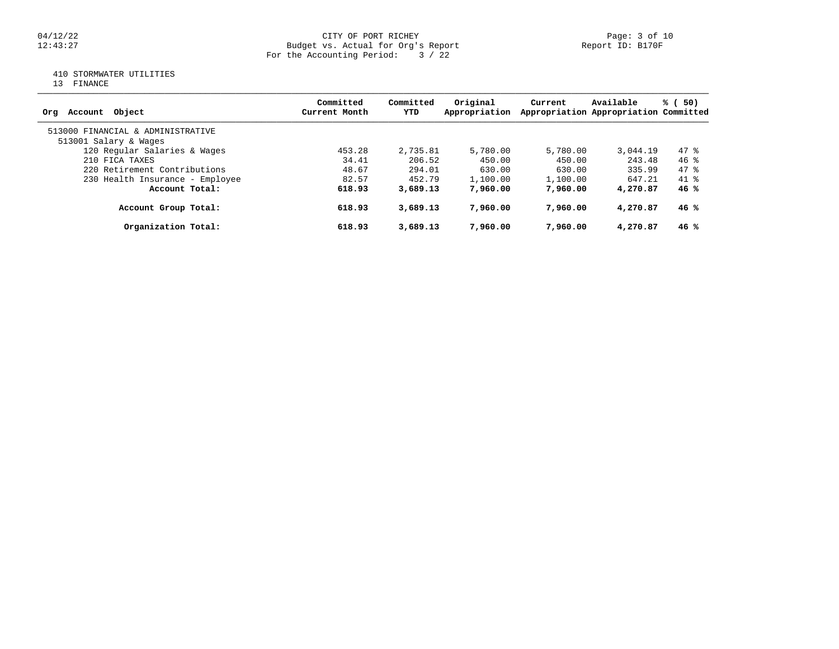#### 04/12/22 Page: 3 of 10 12:43:27 Budget vs. Actual for Org's Report Report ID: B170F For the Accounting Period: 3 / 22

# 410 STORMWATER UTILITIES

13 FINANCE

| Account Object<br>Ora             | Committed<br>Current Month | Committed<br>YTD | Original<br>Appropriation | Current  | Available<br>Appropriation Appropriation Committed | % (<br>50) |
|-----------------------------------|----------------------------|------------------|---------------------------|----------|----------------------------------------------------|------------|
| 513000 FINANCIAL & ADMINISTRATIVE |                            |                  |                           |          |                                                    |            |
| 513001 Salary & Wages             |                            |                  |                           |          |                                                    |            |
| 120 Regular Salaries & Wages      | 453.28                     | 2,735.81         | 5,780.00                  | 5,780.00 | 3,044.19                                           | $47*$      |
| 210 FICA TAXES                    | 34.41                      | 206.52           | 450.00                    | 450.00   | 243.48                                             | $46*$      |
| 220 Retirement Contributions      | 48.67                      | 294.01           | 630.00                    | 630.00   | 335.99                                             | 47 %       |
| 230 Health Insurance - Employee   | 82.57                      | 452.79           | 1,100.00                  | 1,100.00 | 647.21                                             | $41$ $%$   |
| Account Total:                    | 618.93                     | 3,689.13         | 7,960,00                  | 7,960,00 | 4,270.87                                           | 46%        |
| Account Group Total:              | 618.93                     | 3,689.13         | 7,960,00                  | 7,960,00 | 4,270.87                                           | 46%        |
| Organization Total:               | 618.93                     | 3,689.13         | 7,960,00                  | 7,960,00 | 4,270.87                                           | 46 %       |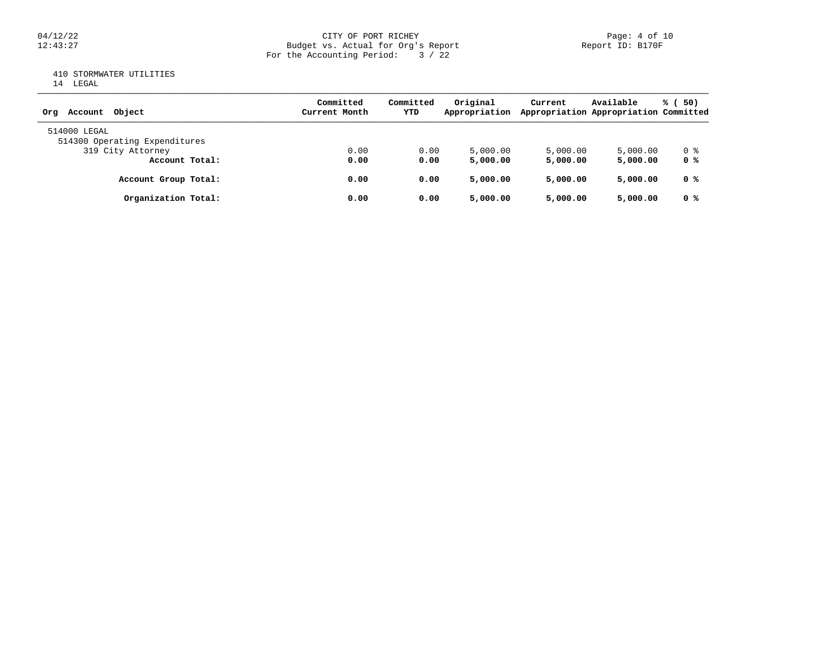# 04/12/22 CITY OF PORT RICHEY Page: 4 of 10<br>Budget vs. Actual for Org's Report Page: 4 Of 10<br>Report ID: B170F Budget vs. Actual for Org's Report For the Accounting Period: 3 / 22

# 410 STORMWATER UTILITIES

|  | LEGAL<br>×<br>v |
|--|-----------------|
|  |                 |

| Account Object<br>Orq                         | Committed<br>Current Month | Committed<br>YTD | Original<br>Appropriation | Current  | Available<br>Appropriation Appropriation Committed | % (50)         |
|-----------------------------------------------|----------------------------|------------------|---------------------------|----------|----------------------------------------------------|----------------|
| 514000 LEGAL<br>514300 Operating Expenditures |                            |                  |                           |          |                                                    |                |
| 319 City Attorney                             | 0.00                       | 0.00             | 5,000.00                  | 5,000.00 | 5,000.00                                           | 0 %            |
| Account Total:                                | 0.00                       | 0.00             | 5,000.00                  | 5,000.00 | 5,000.00                                           | 0 %            |
| Account Group Total:                          | 0.00                       | 0.00             | 5,000.00                  | 5,000.00 | 5,000.00                                           | 0 %            |
| Organization Total:                           | 0.00                       | 0.00             | 5,000.00                  | 5,000.00 | 5,000.00                                           | 0 <sup>8</sup> |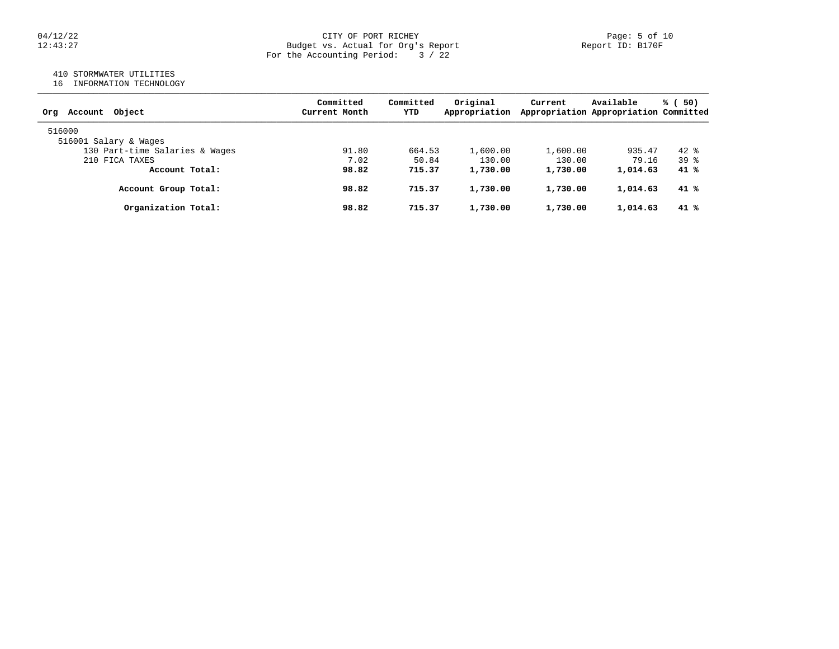#### 04/12/22 Page: 5 of 10 12:43:27 Budget vs. Actual for Org's Report Report ID: B170F For the Accounting Period: 3 / 22

# 410 STORMWATER UTILITIES

16 INFORMATION TECHNOLOGY

| Account Object<br>Orq          | Committed<br>Current Month | Committed<br>YTD | Original<br>Appropriation | Current  | Available<br>Appropriation Appropriation Committed | % (50) |
|--------------------------------|----------------------------|------------------|---------------------------|----------|----------------------------------------------------|--------|
| 516000                         |                            |                  |                           |          |                                                    |        |
| 516001 Salary & Wages          |                            |                  |                           |          |                                                    |        |
| 130 Part-time Salaries & Wages | 91.80                      | 664.53           | 1,600.00                  | 1,600.00 | 935.47                                             | $42*$  |
| 210 FICA TAXES                 | 7.02                       | 50.84            | 130.00                    | 130.00   | 79.16                                              | $39*$  |
| Account Total:                 | 98.82                      | 715.37           | 1,730.00                  | 1,730.00 | 1,014.63                                           | $41*$  |
| Account Group Total:           | 98.82                      | 715.37           | 1,730.00                  | 1,730.00 | 1,014.63                                           | 41 %   |
| Organization Total:            | 98.82                      | 715.37           | 1,730.00                  | 1,730.00 | 1,014.63                                           | $41*$  |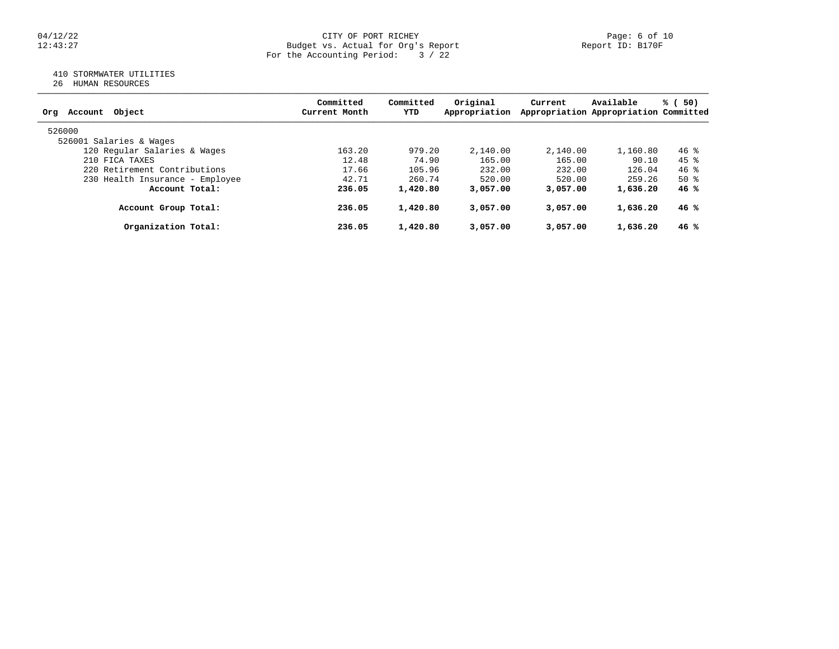#### 04/12/22 CITY OF PORT RICHEY Page: 6 of 10 12:43:27 Budget vs. Actual for Org's Report Report ID: B170F For the Accounting Period: 3 / 22

# 410 STORMWATER UTILITIES

26 HUMAN RESOURCES

| Account Object<br>Org           | Committed<br>Current Month | Committed<br>YTD | Original<br>Appropriation | Current  | Available<br>Appropriation Appropriation Committed | % (<br>50) |
|---------------------------------|----------------------------|------------------|---------------------------|----------|----------------------------------------------------|------------|
| 526000                          |                            |                  |                           |          |                                                    |            |
| 526001 Salaries & Wages         |                            |                  |                           |          |                                                    |            |
| 120 Regular Salaries & Wages    | 163.20                     | 979.20           | 2,140.00                  | 2,140.00 | 1,160.80                                           | $46$ %     |
| 210 FICA TAXES                  | 12.48                      | 74.90            | 165.00                    | 165.00   | 90.10                                              | $45$ %     |
| 220 Retirement Contributions    | 17.66                      | 105.96           | 232.00                    | 232.00   | 126.04                                             | $46$ %     |
| 230 Health Insurance - Employee | 42.71                      | 260.74           | 520.00                    | 520.00   | 259.26                                             | $50*$      |
| Account Total:                  | 236.05                     | 1,420.80         | 3,057.00                  | 3,057,00 | 1,636.20                                           | 46%        |
| Account Group Total:            | 236.05                     | 1,420.80         | 3,057.00                  | 3,057.00 | 1,636.20                                           | 46%        |
| Organization Total:             | 236.05                     | 1,420.80         | 3,057.00                  | 3,057.00 | 1,636.20                                           | 46 %       |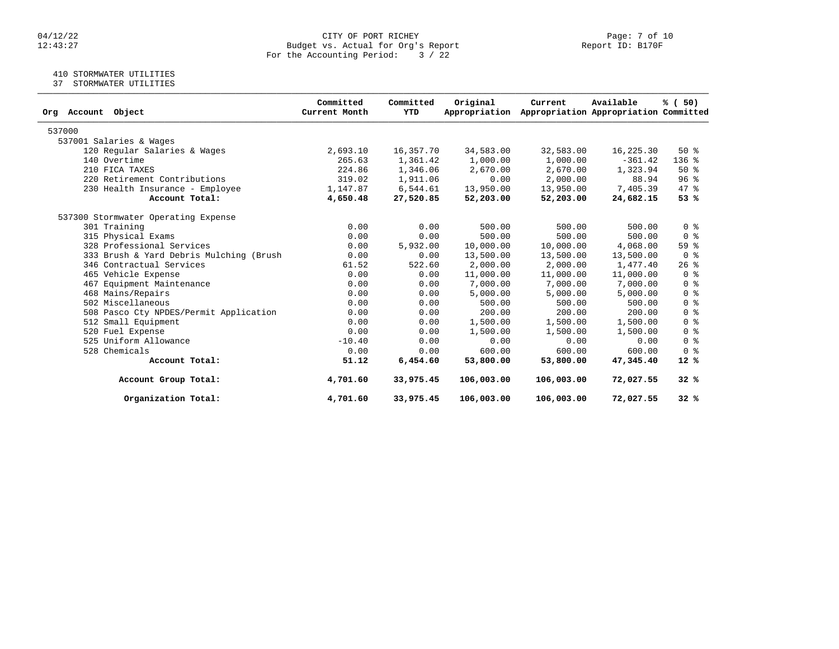#### 04/12/22 CITY OF PORT RICHEY Page: 7 of 10 12:43:27 Budget vs. Actual for Org's Report Report ID: B170F For the Accounting Period: 3 / 22

# 410 STORMWATER UTILITIES

37 STORMWATER UTILITIES

| Object<br>Org Account                   | Committed<br>Current Month | Committed<br>YTD | Original<br>Appropriation | Current    | Available<br>Appropriation Appropriation Committed | % (50)                             |
|-----------------------------------------|----------------------------|------------------|---------------------------|------------|----------------------------------------------------|------------------------------------|
| 537000                                  |                            |                  |                           |            |                                                    |                                    |
| 537001 Salaries & Wages                 |                            |                  |                           |            |                                                    |                                    |
| 120 Regular Salaries & Wages            | 2,693.10                   | 16,357.70        | 34,583.00                 | 32,583.00  | 16,225.30                                          | $50*$                              |
| 140 Overtime                            | 265.63                     | 1,361.42         | 1,000.00                  | 1,000.00   | $-361.42$                                          | $136$ %                            |
| 210 FICA TAXES                          | 224.86                     | 1,346.06         | 2,670.00                  | 2,670.00   | 1,323.94                                           | $50*$                              |
| 220 Retirement Contributions            | 319.02                     | 1,911.06         | 0.00                      | 2,000.00   | 88.94                                              | 96%                                |
| 230 Health Insurance - Employee         | 1,147.87                   | 6,544.61         | 13,950.00                 | 13,950.00  | 7,405.39                                           | 47 %                               |
| Account Total:                          | 4,650.48                   | 27,520.85        | 52,203.00                 | 52,203.00  | 24,682.15                                          | 53%                                |
| 537300 Stormwater Operating Expense     |                            |                  |                           |            |                                                    |                                    |
| 301 Training                            | 0.00                       | 0.00             | 500.00                    | 500.00     | 500.00                                             | 0 <sup>8</sup>                     |
| 315 Physical Exams                      | 0.00                       | 0.00             | 500.00                    | 500.00     | 500.00                                             | 0 <sup>8</sup>                     |
| 328 Professional Services               | 0.00                       | 5,932.00         | 10,000.00                 | 10,000.00  | 4,068.00                                           | 59%                                |
| 333 Brush & Yard Debris Mulching (Brush | 0.00                       | 0.00             | 13,500.00                 | 13,500.00  | 13,500.00                                          | 0 <sup>8</sup>                     |
| 346 Contractual Services                | 61.52                      | 522.60           | 2,000.00                  | 2,000.00   | 1,477.40                                           | $26$ %                             |
| 465 Vehicle Expense                     | 0.00                       | 0.00             | 11,000.00                 | 11,000.00  | 11,000.00                                          | $0 \text{ }$ $\text{ }$ $\text{ }$ |
| 467 Equipment Maintenance               | 0.00                       | 0.00             | 7,000.00                  | 7,000.00   | 7,000.00                                           | 0 <sup>8</sup>                     |
| 468 Mains/Repairs                       | 0.00                       | 0.00             | 5,000.00                  | 5,000.00   | 5,000.00                                           | 0 <sup>8</sup>                     |
| 502 Miscellaneous                       | 0.00                       | 0.00             | 500.00                    | 500.00     | 500.00                                             | 0 <sup>8</sup>                     |
| 508 Pasco Cty NPDES/Permit Application  | 0.00                       | 0.00             | 200.00                    | 200.00     | 200.00                                             | 0 <sup>8</sup>                     |
| 512 Small Equipment                     | 0.00                       | 0.00             | 1,500.00                  | 1,500.00   | 1,500.00                                           | 0 <sup>8</sup>                     |
| 520 Fuel Expense                        | 0.00                       | 0.00             | 1,500.00                  | 1,500.00   | 1,500.00                                           | 0 <sup>8</sup>                     |
| 525 Uniform Allowance                   | $-10.40$                   | 0.00             | 0.00                      | 0.00       | 0.00                                               | 0 <sup>8</sup>                     |
| 528 Chemicals                           | 0.00                       | 0.00             | 600.00                    | 600.00     | 600.00                                             | 0 <sup>8</sup>                     |
| Account Total:                          | 51.12                      | 6,454.60         | 53,800.00                 | 53,800.00  | 47,345.40                                          | $12*$                              |
| Account Group Total:                    | 4,701.60                   | 33,975.45        | 106,003.00                | 106,003.00 | 72,027.55                                          | 32%                                |
| Organization Total:                     | 4,701.60                   | 33,975.45        | 106,003.00                | 106,003.00 | 72,027.55                                          | 32%                                |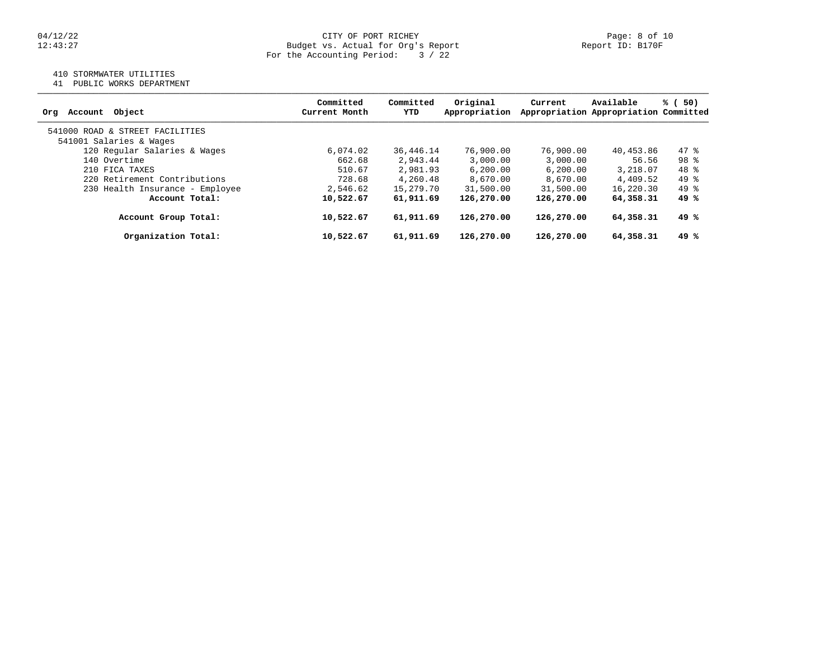#### 04/12/22 CITY OF PORT RICHEY Page: 8 of 10 12:43:27 Budget vs. Actual for Org's Report Report ID: B170F For the Accounting Period: 3 / 22

# 410 STORMWATER UTILITIES

41 PUBLIC WORKS DEPARTMENT

|                                 | Committed     | Committed   | Original      | Current    | Available                             | % (50)          |
|---------------------------------|---------------|-------------|---------------|------------|---------------------------------------|-----------------|
| Object<br>Account<br>Org        | Current Month | YTD         | Appropriation |            | Appropriation Appropriation Committed |                 |
| 541000 ROAD & STREET FACILITIES |               |             |               |            |                                       |                 |
| 541001 Salaries & Wages         |               |             |               |            |                                       |                 |
| 120 Regular Salaries & Wages    | 6,074.02      | 36, 446. 14 | 76,900.00     | 76,900.00  | 40,453.86                             | $47$ %          |
| 140 Overtime                    | 662.68        | 2,943.44    | 3,000.00      | 3,000.00   | 56.56                                 | 98 <sup>8</sup> |
| 210 FICA TAXES                  | 510.67        | 2,981.93    | 6, 200, 00    | 6, 200, 00 | 3,218.07                              | $48*$           |
| 220 Retirement Contributions    | 728.68        | 4,260.48    | 8,670.00      | 8,670.00   | 4,409.52                              | 49 %            |
| 230 Health Insurance - Employee | 2,546.62      | 15,279.70   | 31,500.00     | 31,500.00  | 16,220.30                             | $49*$           |
| Account Total:                  | 10,522.67     | 61,911.69   | 126,270.00    | 126,270.00 | 64,358.31                             | 49 %            |
| Account Group Total:            | 10,522.67     | 61,911.69   | 126,270.00    | 126,270.00 | 64,358.31                             | 49 %            |
| Organization Total:             | 10,522.67     | 61,911.69   | 126,270.00    | 126,270.00 | 64,358.31                             | 49 %            |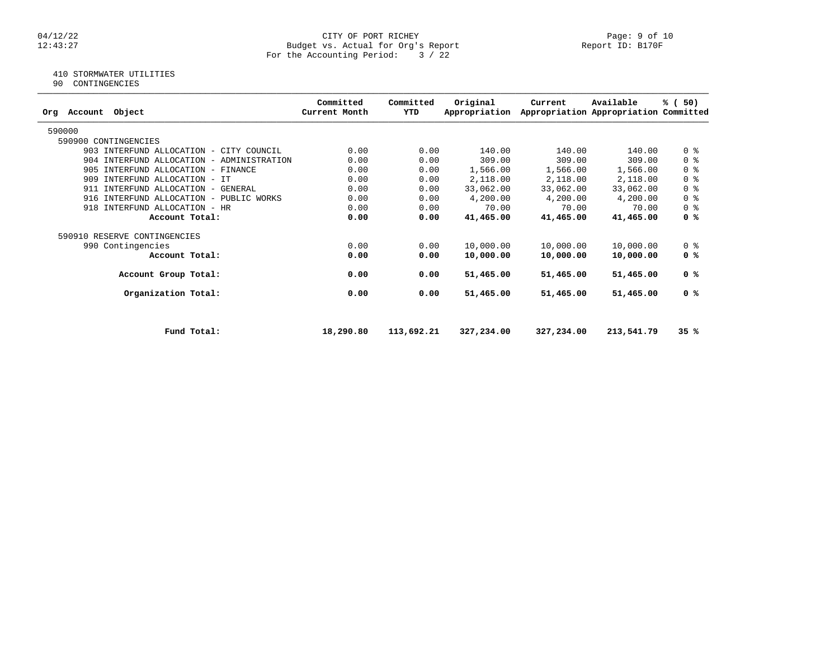#### 04/12/22 Page: 9 of 10 12:43:27 Budget vs. Actual for Org's Report Report ID: B170F For the Accounting Period: 3 / 22

# 410 STORMWATER UTILITIES

90 CONTINGENCIES

| Object<br>Account<br>Orq                  | Committed<br>Current Month | Committed<br>YTD | Original<br>Appropriation | Current    | Available<br>Appropriation Appropriation Committed | % (50)                             |
|-------------------------------------------|----------------------------|------------------|---------------------------|------------|----------------------------------------------------|------------------------------------|
| 590000                                    |                            |                  |                           |            |                                                    |                                    |
| 590900 CONTINGENCIES                      |                            |                  |                           |            |                                                    |                                    |
| 903 INTERFUND ALLOCATION - CITY COUNCIL   | 0.00                       | 0.00             | 140.00                    | 140.00     | 140.00                                             | 0 <sup>8</sup>                     |
| 904 INTERFUND ALLOCATION - ADMINISTRATION | 0.00                       | 0.00             | 309.00                    | 309.00     | 309.00                                             | 0 %                                |
| 905 INTERFUND ALLOCATION - FINANCE        | 0.00                       | 0.00             | 1,566.00                  | 1,566.00   | 1,566.00                                           | $0 \text{ }$ $\text{ }$ $\text{ }$ |
| 909 INTERFUND ALLOCATION - IT             | 0.00                       | 0.00             | 2,118.00                  | 2,118.00   | 2,118.00                                           | 0 <sup>8</sup>                     |
| 911 INTERFUND ALLOCATION - GENERAL        | 0.00                       | 0.00             | 33,062.00                 | 33,062.00  | 33,062.00                                          | 0 <sup>8</sup>                     |
| 916 INTERFUND ALLOCATION - PUBLIC WORKS   | 0.00                       | 0.00             | 4,200.00                  | 4,200.00   | 4,200.00                                           | 0 <sup>8</sup>                     |
| INTERFUND ALLOCATION - HR<br>918          | 0.00                       | 0.00             | 70.00                     | 70.00      | 70.00                                              | 0 <sup>8</sup>                     |
| Account Total:                            | 0.00                       | 0.00             | 41,465.00                 | 41,465.00  | 41,465.00                                          | 0 <sup>8</sup>                     |
| 590910 RESERVE CONTINGENCIES              |                            |                  |                           |            |                                                    |                                    |
| 990 Contingencies                         | 0.00                       | 0.00             | 10,000.00                 | 10,000.00  | 10,000.00                                          | 0 <sub>8</sub>                     |
| Account Total:                            | 0.00                       | 0.00             | 10,000.00                 | 10,000.00  | 10,000.00                                          | 0 <sup>8</sup>                     |
| Account Group Total:                      | 0.00                       | 0.00             | 51,465.00                 | 51,465.00  | 51,465.00                                          | 0 %                                |
| Organization Total:                       | 0.00                       | 0.00             | 51,465.00                 | 51,465.00  | 51,465.00                                          | 0 <sup>8</sup>                     |
| Fund Total:                               | 18,290.80                  | 113,692.21       | 327,234.00                | 327,234.00 | 213,541.79                                         | 35%                                |
|                                           |                            |                  |                           |            |                                                    |                                    |